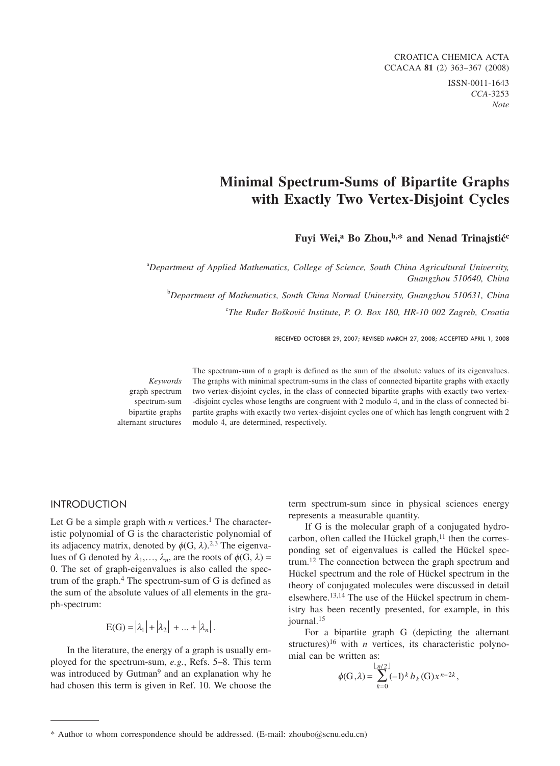CROATICA CHEMICA ACTA CCACAA **81** (2) 363-367 (2008) ISSN-0011-1643 *CCA-*3253 *Note*

#### **Minimal Spectrum-Sums of Bipartite Graphs with Exactly Two Vertex-Disjoint Cycles**

Fuyi Wei,<sup>a</sup> Bo Zhou,<sup>b,\*</sup> and Nenad Trinajstić<sup>c</sup>

a *Department of Applied Mathematics, College of Science, South China Agricultural University, Guangzhou 510640, China*

b *Department of Mathematics, South China Normal University, Guangzhou 510631, China*

<sup>c</sup>The Ruđer Bošković Institute, P. O. Box 180, HR-10 002 Zagreb, Croatia

RECEIVED OCTOBER 29, 2007; REVISED MARCH 27, 2008; ACCEPTED APRIL 1, 2008

*Keywords* graph spectrum spectrum-sum bipartite graphs alternant structures

The spectrum-sum of a graph is defined as the sum of the absolute values of its eigenvalues. The graphs with minimal spectrum-sums in the class of connected bipartite graphs with exactly two vertex-disjoint cycles, in the class of connected bipartite graphs with exactly two vertex- -disjoint cycles whose lengths are congruent with 2 modulo 4, and in the class of connected bipartite graphs with exactly two vertex-disjoint cycles one of which has length congruent with 2 modulo 4, are determined, respectively.

## International Contract of

Let G be a simple graph with  $n$  vertices.<sup>1</sup> The characteristic polynomial of G is the characteristic polynomial of its adjacency matrix, denoted by  $\phi$ (G,  $\lambda$ ).<sup>2,3</sup> The eigenvalues of G denoted by  $\lambda_1, \ldots, \lambda_n$ , are the roots of  $\phi(G, \lambda) =$ 0. The set of graph-eigenvalues is also called the spectrum of the graph. $4$  The spectrum-sum of G is defined as the sum of the absolute values of all elements in the graph-spectrum:

$$
E(G) = |\lambda_1| + |\lambda_2| + \dots + |\lambda_n|.
$$

In the literature, the energy of a graph is usually employed for the spectrum-sum, *e.g.*, Refs. 5–8. This term was introduced by Gutman<sup>9</sup> and an explanation why he had chosen this term is given in Ref. 10. We choose the term spectrum-sum since in physical sciences energy represents a measurable quantity.

If G is the molecular graph of a conjugated hydrocarbon, often called the Hückel graph, $<sup>11</sup>$  then the corres-</sup> ponding set of eigenvalues is called the Hückel spectrum.12 The connection between the graph spectrum and Hückel spectrum and the role of Hückel spectrum in the theory of conjugated molecules were discussed in detail elsewhere.13,14 The use of the Hückel spectrum in chemistry has been recently presented, for example, in this iournal.<sup>15</sup>

For a bipartite graph G (depicting the alternant structures)<sup>16</sup> with *n* vertices, its characteristic polynomial can be written as:

$$
\phi(G,\lambda) = \sum_{k=0}^{\lfloor n/2 \rfloor} (-1)^k b_k(G) x^{n-2k},
$$

<sup>\*</sup> Author to whom correspondence should be addressed. (E-mail: zhoubo*@*scnu.edu.cn)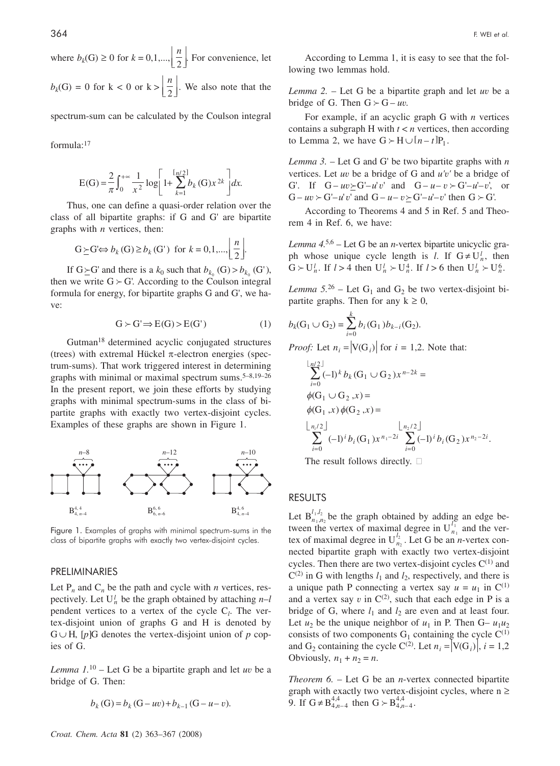where  $b_k(G) \ge 0$  for  $k = 0, 1, ..., \left\lfloor \frac{n}{2} \right\rfloor$ L  $\overline{\phantom{a}}$  . For convenience, let  $b_k(G) = 0$  for  $k < 0$  or  $k > \left\lfloor \frac{n}{2} \right\rfloor$  $\overline{\phantom{a}}$ L  $\overline{\phantom{a}}$ . We also note that the

spectrum-sum can be calculated by the Coulson integral

formula:17

$$
E(G) = \frac{2}{\pi} \int_0^{+\infty} \frac{1}{x^2} \log \left[ 1 + \sum_{k=1}^{\lfloor \frac{n}{2} \rfloor} b_k(G) x^{2k} \right] dx.
$$

Thus, one can define a quasi-order relation over the class of all bipartite graphs: if G and G' are bipartite graphs with *n* vertices, then:

$$
G \succeq G \Leftrightarrow b_k(G) \ge b_k(G') \text{ for } k = 0, 1, \dots, \left\lfloor \frac{n}{2} \right\rfloor.
$$

If  $G \succeq G'$  and there is a  $k_0$  such that  $b_{k_0}(G) > b_{k_0}(G')$ , then we write  $G \succ G'$ . According to the Coulson integral formula for energy, for bipartite graphs G and G', we have:

$$
G \succ G' \Longrightarrow E(G) \succ E(G') \tag{1}
$$

Gutman18 determined acyclic conjugated structures (trees) with extremal Hückel  $\pi$ -electron energies (spectrum-sums). That work triggered interest in determining graphs with minimal or maximal spectrum sums. $5-8,19-26$ In the present report, we join these efforts by studying graphs with minimal spectrum-sums in the class of bipartite graphs with exactly two vertex-disjoint cycles. Examples of these graphs are shown in Figure 1.



Figure 1. Examples of graphs with minimal spectrum-sums in the class of bipartite graphs with exactly two vertex-disjoint cycles.

# PRELIMINARIES

Let  $P_n$  and  $C_n$  be the path and cycle with *n* vertices, respectively. Let  $U_n^l$  be the graph obtained by attaching  $n-l$ pendent vertices to a vertex of the cycle C*<sup>l</sup>* . The vertex-disjoint union of graphs G and H is denoted by  $G \cup H$ , [p]G denotes the vertex-disjoint union of p copies of G.

*Lemma 1.*<sup>10</sup> – Let G be a bipartite graph and let *uv* be a bridge of G. Then:

$$
b_k(G) = b_k(G - uv) + b_{k-1}(G - u - v).
$$

According to Lemma 1, it is easy to see that the following two lemmas hold.

*Lemma 2.* – Let G be a bipartite graph and let *uv* be a bridge of G. Then  $G \succ G - uv$ .

For example, if an acyclic graph G with *n* vertices contains a subgraph H with *t* < *n* vertices, then according to Lemma 2, we have  $G \succ H \cup [n - t]P_1$ .

*Lemma 3.* – Let G and G' be two bipartite graphs with *n* vertices. Let *uv* be a bridge of G and *u'v'* be a bridge of G'. If  $G - uv \succ G'-u'v'$  and  $G-u-v \succ G'-u'-v'$ , or  $G - uv \succ G' - u' v'$  and  $G - u - v \succ G' - u' - v'$  then  $G \succ G'$ .

According to Theorems 4 and 5 in Ref. 5 and Theorem 4 in Ref. 6, we have:

*Lemma 4.*5,6 – Let G be an *n*-vertex bipartite unicyclic graph whose unique cycle length is *l*. If  $G \neq U_n^l$ , then  $G \succ U_n^l$ . If  $l > 4$  then  $U_n^l \succ U_n^4$ . If  $l > 6$  then  $U_n^l \succ U_n^6$ .

*Lemma* 5.<sup>26</sup> – Let  $G_1$  and  $G_2$  be two vertex-disjoint bipartite graphs. Then for any  $k \geq 0$ ,

$$
b_k(G_1 \cup G_2) = \sum_{i=0}^k b_i(G_1) b_{k-i}(G_2).
$$

*Proof:* Let  $n_i = |V(G_i)|$  for  $i = 1,2$ . Note that:

$$
\sum_{i=0}^{\lfloor n/2 \rfloor} (-1)^k b_k (G_1 \cup G_2) x^{n-2k} =
$$
  
\n
$$
\phi(G_1 \cup G_2, x) =
$$
  
\n
$$
\phi(G_1, x) \phi(G_2, x) =
$$
  
\n
$$
\left\lfloor \frac{n_1}{2} \right\rfloor
$$
  
\n
$$
\sum_{i=0}^{\lfloor n/2 \rfloor} (-1)^i b_i (G_1) x^{n_1 - 2i} \sum_{i=0}^{\lfloor n/2 \rfloor} (-1)^i b_i (G_2) x^{n_2 - 2i}
$$

.

The result follows directly.  $\square$ 

## $\mathbb{R}$

Let  $B_{n_1,n}^{l_1,l_2}$  $1, n<sub>2</sub>$  $\frac{1}{2}$ ,  $\frac{1}{2}$ , be the graph obtained by adding an edge between the vertex of maximal degree in  $U_n^l$  $\frac{1}{11}$  and the vertex of maximal degree in  $U_n^{l_2}$  $n_2$ . Let G be an *n*-vertex connected bipartite graph with exactly two vertex-disjoint cycles. Then there are two vertex-disjoint cycles  $C^{(1)}$  and  $C^{(2)}$  in G with lengths  $l_1$  and  $l_2$ , respectively, and there is a unique path P connecting a vertex say  $u = u_1$  in C<sup>(1)</sup> and a vertex say  $v$  in  $C^{(2)}$ , such that each edge in P is a bridge of G, where  $l_1$  and  $l_2$  are even and at least four. Let  $u_2$  be the unique neighbor of  $u_1$  in P. Then G–  $u_1u_2$ consists of two components  $G_1$  containing the cycle  $C^{(1)}$ and G<sub>2</sub> containing the cycle C<sup>(2)</sup>. Let  $n_i = |V(G_i)|$ ,  $i = 1,2$ Obviously,  $n_1 + n_2 = n$ .

*Theorem 6.* – Let G be an *n*-vertex connected bipartite graph with exactly two vertex-disjoint cycles, where  $n \geq$ 9. If  $G \neq B_{4,n-4}^{4,4}$  then  $G \succ B_{4,n-4}^{4,4}$ .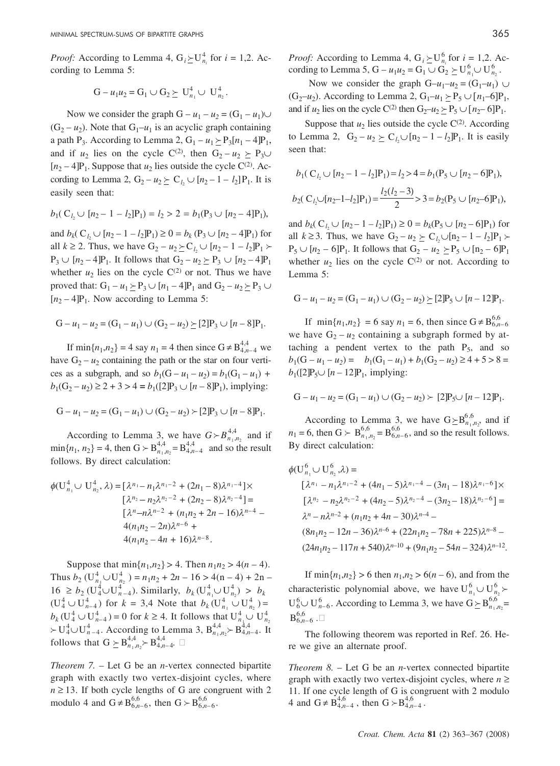*Proof:* According to Lemma 4,  $G_i \ge U_n^4$  for  $i = 1,2$ . According to Lemma 5:

$$
G - u_1 u_2 = G_1 \cup G_2 \succeq U_{n_1}^4 \cup U_{n_2}^4.
$$

Now we consider the graph  $G - u_1 - u_2 = (G_1 - u_1) \cup$  $(G_2 - u_2)$ . Note that  $G_1 - u_1$  is an acyclic graph containing a path P<sub>3</sub>. According to Lemma 2,  $G_1 - u_1 \succeq P_3[n_1 - 4]P_1$ , and if *u*<sub>2</sub> lies on the cycle C<sup>(2)</sup>, then  $G_2 - u_2 \succ P_3 \cup$  $[n_2 - 4]$ P<sub>1</sub>. Suppose that  $u_2$  lies outside the cycle C<sup>(2)</sup>. According to Lemma 2,  $G_2 - u_2 \succeq C_{l_2} \cup [n_2 - 1 - l_2]P_1$ . It is easily seen that:

$$
b_1(C_{l_2} \cup [n_2 - 1 - l_2]P_1) = l_2 > 2 = b_1(P_3 \cup [n_2 - 4]P_1),
$$

and  $b_k$ ( $C_{l_2}$   $\cup$   $[n_2 - 1 - l_2]$  $P_1$ )  $\geq 0 = b_k$  ( $P_3$   $\cup$   $[n_2 - 4]$  $P_1$ ) for all  $k \ge 2$ . Thus, we have  $G_2 - u_2 \succeq C_{l_2} \cup [n_2 - 1 - l_2]P_1$  $P_3 \cup [n_2 - 4]P_1$ . It follows that  $G_2 - u_2 \succeq P_3 \cup [n_2 - 4]P_1$ whether  $u_2$  lies on the cycle  $C^{(2)}$  or not. Thus we have proved that:  $G_1 - u_1 \ge P_3 \cup [n_1 - 4]P_1$  and  $G_2 - u_2 \ge P_3 \cup$  $[n_2 - 4]P_1$ . Now according to Lemma 5:

$$
G - u_1 - u_2 = (G_1 - u_1) \cup (G_2 - u_2) \ge [2]P_3 \cup [n - 8]P_1.
$$

If  $\min\{n_1, n_2\} = 4$  say  $n_1 = 4$  then since  $G \neq B_{4,n-4}^{4,4}$  we have  $G_2 - u_2$  containing the path or the star on four vertices as a subgraph, and so  $b_1(G - u_1 - u_2) = b_1(G_1 - u_1) +$  $b_1$ (G<sub>2</sub> – *u*<sub>2</sub>) ≥ 2 + 3 > 4 =  $b_1$ ([2]P<sub>3</sub>  $\cup$  [*n* – 8]P<sub>1</sub>), implying:

$$
G - u_1 - u_2 = (G_1 - u_1) \cup (G_2 - u_2) \succ [2]P_3 \cup [n - 8]P_1.
$$

According to Lemma 3, we have  $G \succ B_{n_1,n_2}^{4,4}$  and if  $\min\{n_1, n_2\} = 4$ , then  $G \succ B^{4,4}_{n_1,n_2} = B^{4,4}_{4,n_1-4}$  and so the result follows. By direct calculation:

$$
\phi(\mathbf{U}_{n_1}^4 \cup \mathbf{U}_{n_2}^4, \lambda) = [\lambda^{n_1} - n_1 \lambda^{n_1 - 2} + (2n_1 - 8)\lambda^{n_1 - 4}] \times
$$
  
\n
$$
[\lambda^{n_2} - n_2 \lambda^{n_2 - 2} + (2n_2 - 8)\lambda^{n_2 - 4}] =
$$
  
\n
$$
[\lambda^{n} - n\lambda^{n-2} + (n_1 n_2 + 2n - 16)\lambda^{n-4} -
$$
  
\n
$$
4(n_1 n_2 - 2n)\lambda^{n-6} +
$$
  
\n
$$
4(n_1 n_2 - 4n + 16)\lambda^{n-8}.
$$

Suppose that  $\min\{n_1, n_2\} > 4$ . Then  $n_1n_2 > 4(n - 4)$ . Thus  $b_2$  ( $U_{n_1}^4$   $\cup$   $U_{n_2}^4$ ) =  $n_1n_2$  + 2*n* – 16 > 4(n – 4) + 2*n* –  $16 \ge b_2 \left( \frac{1}{4} \cup \frac{1}{n-4} \right)$ . Similarly,  $b_k \left( \frac{1}{n_1} \cup \frac{1}{n_2} \right) > b_k$  $(U_4^4 \cup U_{n-4}^4)$  for  $k = 3,4$  Note that  $b_k$   $(U_{n_1}^4 \cup U_{n_2}^4)$  =  $b_k (U_4^4 \cup U_{n-4}^4) = 0$  for  $k \ge 4$ . It follows that  $U_{n_1}^4 \cup U_{n_2}^4$  $> U_4^4 \cup U_{n-4}^4$ . According to Lemma 3,  $B_{n_1,n_2}^{4,4} > B_{4,n-4}^{4,4}$ . It follows that  $G \succeq B_{n_1,n_2}^{4,4} \succ B_{4,n-4}^{4,4}.$ 

*Theorem 7.* – Let G be an *n*-vertex connected bipartite graph with exactly two vertex-disjoint cycles, where  $n \geq 13$ . If both cycle lengths of G are congruent with 2 modulo 4 and  $G \neq B_{6,n-6}^{6,6}$ , then  $G \succ B_{6,n-6}^{6,6}$ .

*Proof:* According to Lemma 4,  $G_i \ge U_{n_i}^6$  for  $i = 1, 2$ . According to Lemma 5, G –  $u_1 u_2 = G_1 \cup G_2 \succeq U_{n_1}^6 \cup U_{n_2}^6$ .

Now we consider the graph  $G-u_1-u_2 = (G_1-u_1) \cup$ (G<sub>2</sub>–*u*<sub>2</sub>). According to Lemma 2, G<sub>1</sub>–*u*<sub>1</sub>  $\succeq$  P<sub>5</sub>  $\cup$  [*n*<sub>1</sub>–6]P<sub>1</sub>, and if *u*<sub>2</sub> lies on the cycle C<sup>(2)</sup> then  $G_2-u_2 > P_5 \cup [n_2-6]P_1$ .

Suppose that  $u_2$  lies outside the cycle  $C^{(2)}$ . According to Lemma 2,  $G_2 - u_2 \ge C_{l_2} \cup [n_2 - 1 - l_2]P_1$ . It is easily seen that:

$$
b_1(C_{l_2} \cup [n_2 - 1 - l_2]P_1) = l_2 > 4 = b_1(P_5 \cup [n_2 - 6]P_1),
$$
  

$$
b_2(C_{l_2} \cup [n_2 - 1 - l_2]P_1) = \frac{l_2(l_2 - 3)}{2} > 3 = b_2(P_5 \cup [n_2 - 6]P_1),
$$

and  $b_k$ ( $C_{l_2}$   $\cup$   $[n_2 - 1 - l_2]$  $P_1$ )  $\geq 0 = b_k$ ( $P_5$   $\cup$   $[n_2 - 6]$  $P_1$ ) for all  $k \ge 3$ . Thus, we have  $G_2 - u_2 \succeq C_{l_2} \cup [n_2 - 1 - l_2]P_1$  $P_5 \cup [n_2 - 6]P_1$ . It follows that  $G_2 - u_2 \succeq P_5 \cup [n_2 - 6]P_1$ whether  $u_2$  lies on the cycle  $C^{(2)}$  or not. According to Lemma 5:

$$
G - u_1 - u_2 = (G_1 - u_1) \cup (G_2 - u_2) \ge [2]P_5 \cup [n - 12]P_1.
$$

If  $\min\{n_1, n_2\} = 6$  say  $n_1 = 6$ , then since  $G \neq B_{6,n-6}^{6,6}$ we have  $G_2 - u_2$  containing a subgraph formed by attaching a pendent vertex to the path  $P_5$ , and so  $b_1(G - u_1 - u_2) = b_1(G_1 - u_1) + b_1(G_2 - u_2) \ge 4 + 5 > 8 =$  $b_1$ ([2]P<sub>5</sub>∪ [n – 12]P<sub>1</sub>, implying:

$$
G - u_1 - u_2 = (G_1 - u_1) \cup (G_2 - u_2) \succ [2]P_5 \cup [n - 12]P_1.
$$

According to Lemma 3, we have  $G \succeq B^{6,6}_{n_1,n_2}$ , and if  $n_1 = 6$ , then  $G \succ B_{n_1,n_2}^{6,6} = B_{6,n-6}^{6,6}$ , and so the result follows. By direct calculation:

$$
\phi(\mathbf{U}_{n_1}^6 \cup \mathbf{U}_{n_2}^6, \lambda) =
$$
\n
$$
[\lambda^{n_1} - n_1 \lambda^{n_1 - 2} + (4n_1 - 5)\lambda^{n_1 - 4} - (3n_1 - 18)\lambda^{n_1 - 6}] \times
$$
\n
$$
[\lambda^{n_2} - n_2 \lambda^{n_2 - 2} + (4n_2 - 5)\lambda^{n_2 - 4} - (3n_2 - 18)\lambda^{n_2 - 6}] =
$$
\n
$$
\lambda^n - n\lambda^{n-2} + (n_1 n_2 + 4n - 30)\lambda^{n-4} -
$$
\n
$$
(8n_1 n_2 - 12n - 36)\lambda^{n-6} + (22n_1 n_2 - 78n + 225)\lambda^{n-8} -
$$
\n
$$
(24n_1 n_2 - 117n + 540)\lambda^{n-10} + (9n_1 n_2 - 54n - 324)\lambda^{n-12}.
$$

If  $\min\{n_1, n_2\} > 6$  then  $n_1, n_2 > 6(n - 6)$ , and from the characteristic polynomial above, we have  $U_{n_1}^6 \cup U_{n_2}^6$  $U_6^6$  $\cup$   $U_{n-6}^6$ . According to Lemma 3, we have  $G \succeq B_{n_1,n_2}^{6,6}$  $\mathrm{B}_{6,n-6}^{6,6}$  . $\Box$ 

The following theorem was reported in Ref. 26. Here we give an alternate proof.

*Theorem 8.* – Let G be an *n*-vertex connected bipartite graph with exactly two vertex-disjoint cycles, where  $n \geq$ 11. If one cycle length of G is congruent with 2 modulo 4 and  $G \neq B_{4,n-4}^{4,6}$ , then  $G \succ B_{4,n-4}^{4,6}$ .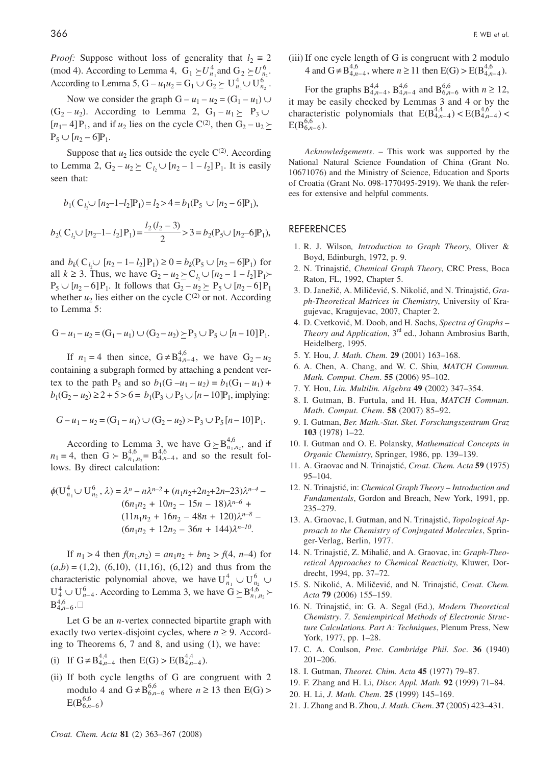*Proof:* Suppose without loss of generality that  $l_2 = 2$ (mod 4). According to Lemma 4,  $G_1 \succeq U_{n_1}^4$  and  $G_2 \succeq U_{n_2}^6$ . According to Lemma 5, G –  $u_1 u_2 = G_1 \cup G_2 \succeq U_{n_1}^4 \cup U_{n_2}^6$ .

Now we consider the graph  $G - u_1 - u_2 = (G_1 - u_1) \cup$  $(G_2 - u_2)$ . According to Lemma 2,  $G_1 - u_1 \succeq P_3 \cup$  $[n_1-4]P_1$ , and if  $u_2$  lies on the cycle C<sup>(2)</sup>, then  $G_2 - u_2 \succeq$  $P_5 \cup [n_2 - 6]P_1.$ 

Suppose that  $u_2$  lies outside the cycle  $C^{(2)}$ . According to Lemma 2,  $G_2 - u_2 \ge C_{l_2} \cup [n_2 - 1 - l_2] P_1$ . It is easily seen that:

$$
b_1(C_{l_2}\cup [n_2-1-l_2]P_1) = l_2 > 4 = b_1(P_5 \cup [n_2-6]P_1),
$$
  

$$
b_2(C_{l_2}\cup [n_2-1-l_2]P_1) = \frac{l_2(l_2-3)}{2} > 3 = b_2(P_5\cup [n_2-6]P_1),
$$

and  $b_k$ ( $C_{l_2} \cup [n_2 - 1 - l_2]P_1$ )  $\geq 0 = b_k(P_5 \cup [n_2 - 6]P_1)$  for all *k* ≥ 3. Thus, we have  $G_2 - u_2 \succeq C_{l_2} \cup [n_2 - 1 - l_2]P_1$  ≻  $P_5 \cup [n_2 - 6]P_1$ . It follows that  $G_2 - u_2 \succeq P_5 \cup [n_2 - 6]P_1$ whether  $u_2$  lies either on the cycle  $C^{(2)}$  or not. According to Lemma 5:

$$
G - u_1 - u_2 = (G_1 - u_1) \cup (G_2 - u_2) \ge P_3 \cup P_5 \cup [n - 10]P_1.
$$

If  $n_1 = 4$  then since,  $G \neq B_{4,n-4}^{4,6}$ , we have  $G_2 - u_2$ containing a subgraph formed by attaching a pendent vertex to the path  $P_5$  and so  $b_1(G - u_1 - u_2) = b_1(G_1 - u_1) +$  $b_1(G_2 - u_2) \ge 2 + 5 > 6 = b_1(P_3 \cup P_5 \cup [n - 10]P_1,$  implying:

$$
G - u_1 - u_2 = (G_1 - u_1) \cup (G_2 - u_2) \succ P_3 \cup P_5 [n - 10] P_1.
$$

According to Lemma 3, we have  $G \succeq B_{n_1,n_2}^{4,6}$ , and if  $n_1 = 4$ , then  $G > B_{n_1,n_2}^{4,6} = B_{4,n-4}^{4,6}$ , and so the result follows. By direct calculation:

$$
\phi(\mathbf{U}_{n_1}^4 \cup \mathbf{U}_{n_2}^6, \lambda) = \lambda^n - n\lambda^{n-2} + (n_1n_2 + 2n_2 + 2n - 23)\lambda^{n-4} - (6n_1n_2 + 10n_2 - 15n - 18)\lambda^{n-6} + (11n_1n_2 + 16n_2 - 48n + 120)\lambda^{n-8} - (6n_1n_2 + 12n_2 - 36n + 144)\lambda^{n-10}.
$$

If  $n_1 > 4$  then  $f(n_1, n_2) = a n_1 n_2 + b n_2 > f(4, n-4)$  for  $(a,b) = (1,2), (6,10), (11,16), (6,12)$  and thus from the characteristic polynomial above, we have  $U_{n_1}^4 \cup U_{n_2}^6$  $U_4^4 \cup U_{n-4}^6$ . According to Lemma 3, we have  $G \succeq B_{n_1,n_2}^{4,6}$ .  ${\mathrm B}^{4,6}_{4,n-6}$ . $\Box$ 

Let G be an *n*-vertex connected bipartite graph with exactly two vertex-disjoint cycles, where  $n \geq 9$ . According to Theorems 6, 7 and 8, and using (1), we have:

(i) If 
$$
G \neq B_{4,n-4}^{4,4}
$$
 then  $E(G) > E(B_{4,n-4}^{4,4})$ .

(ii) If both cycle lengths of G are congruent with 2 modulo 4 and  $G \neq B_{6,n-6}^{6,6}$  where  $n \ge 13$  then  $E(G)$  $E(B_{6,n-6}^{6,6})$ 

(iii) If one cycle length of G is congruent with 2 modulo 4 and  $G \neq B_{4,n-4}^{4,6}$ , where  $n \ge 11$  then  $E(G) > E(B_{4,n-4}^{4,6})$ .

For the graphs  $B_{4,n-4}^{4,4}$ ,  $B_{4,n-4}^{4,6}$  and  $B_{6,n-6}^{6,6}$  with  $n \ge 12$ , it may be easily checked by Lemmas 3 and 4 or by the characteristic polynomials that  $E(B_{4,n-4}^{4,4}) < E(B_{4,n-4}^{4,6})$  $E(B_{6,n-6}^{6,6})$ .

*Acknowledgements*. – This work was supported by the National Natural Science Foundation of China (Grant No. 10671076) and the Ministry of Science, Education and Sports of Croatia (Grant No. 098-1770495-2919). We thank the referees for extensive and helpful comments.

## REFERENCES

- 1. R. J. Wilson*, Introduction to Graph Theory*, Oliver & Boyd, Edinburgh, 1972, p. 9.
- 2. N. Trinaistić, *Chemical Graph Theory*, CRC Press, Boca Raton, FL, 1992, Chapter 5.
- 3. D. Janežič, A. Miličević, S. Nikolić, and N. Trinajstić, *Graph-Theoretical Matrices in Chemistry*, University of Kragujevac, Kragujevac, 2007, Chapter 2.
- 4. D. Cvetkovi}, M. Doob, and H. Sachs, *Spectra of Graphs – Theory and Application*, 3rd ed., Johann Ambrosius Barth, Heidelberg, 1995.
- 5. Y. Hou, *J. Math. Chem*. **29** (2001) 163–168.
- 6. A. Chen, A. Chang, and W. C. Shiu*, MATCH Commun. Math. Comput. Chem*. **55** (2006) 95–102.
- 7. Y. Hou, *Lin. Multilin. Algebra* **49** (2002) 347–354.
- 8. I. Gutman, B. Furtula, and H. Hua, *MATCH Commun. Math. Comput. Chem*. **58** (2007) 85–92.
- 9. I. Gutman, *Ber. Math.-Stat. Sket. Forschungszentrum Graz* **103** (1978) 1–22.
- 10. I. Gutman and O. E. Polansky, *Mathematical Concepts in Organic Chemistry*, Springer, 1986, pp. 139–139.
- 11. A. Graovac and N. Trinajstić, *Croat. Chem. Acta* **59** (1975) 95–104.
- 12. N. Trinajstić, in: *Chemical Graph Theory Introduction and Fundamentals*, Gordon and Breach, New York, 1991, pp. 235–279.
- 13. A. Graovac, I. Gutman, and N. Trinajstić, *Topological Approach to the Chemistry of Conjugated Molecules*, Springer-Verlag, Berlin, 1977.
- 14. N. Trinajstić, Z. Mihalić, and A. Graovac, in: *Graph-Theoretical Approaches to Chemical Reactivity*, Kluwer, Dordrecht, 1994, pp. 37–72.
- 15. S. Nikolić, A. Miličević, and N. Trinaistić, *Croat. Chem. Acta* **79** (2006) 155–159.
- 16. N. Trinajsti}, in: G. A. Segal (Ed.), *Modern Theoretical Chemistry*. *7. Semiempirical Methods of Electronic Structure Calculations. Part A: Techniques*, Plenum Press, New York, 1977, pp. 1–28.
- 17. C. A. Coulson, *Proc. Cambridge Phil. Soc*. **36** (1940) 201–206.
- 18. I. Gutman, *Theoret. Chim. Acta* **45** (1977) 79–87.
- 19. F. Zhang and H. Li, *Discr. Appl. Math.* **92** (1999) 71–84.
- 20. H. Li, *J. Math. Chem*. **25** (1999) 145–169.
- 21. J. Zhang and B. Zhou, *J. Math. Chem*. **37** (2005) 423–431.